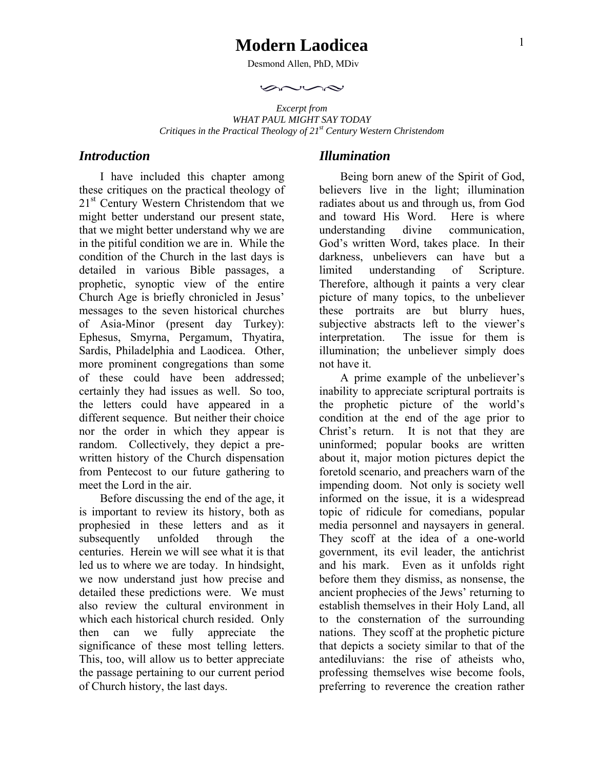# **Modern Laodicea**

Desmond Allen, PhD, MDiv

 $\curvearrowright \curvearrowright \curvearrowright$ 

*Excerpt from WHAT PAUL MIGHT SAY TODAY Critiques in the Practical Theology of 21st Century Western Christendom* 

#### *Introduction*

I have included this chapter among these critiques on the practical theology of 21<sup>st</sup> Century Western Christendom that we might better understand our present state, that we might better understand why we are in the pitiful condition we are in. While the condition of the Church in the last days is detailed in various Bible passages, a prophetic, synoptic view of the entire Church Age is briefly chronicled in Jesus' messages to the seven historical churches of Asia-Minor (present day Turkey): Ephesus, Smyrna, Pergamum, Thyatira, Sardis, Philadelphia and Laodicea. Other, more prominent congregations than some of these could have been addressed; certainly they had issues as well. So too, the letters could have appeared in a different sequence. But neither their choice nor the order in which they appear is random. Collectively, they depict a prewritten history of the Church dispensation from Pentecost to our future gathering to meet the Lord in the air.

Before discussing the end of the age, it is important to review its history, both as prophesied in these letters and as it subsequently unfolded through the centuries. Herein we will see what it is that led us to where we are today. In hindsight, we now understand just how precise and detailed these predictions were. We must also review the cultural environment in which each historical church resided. Only then can we fully appreciate the significance of these most telling letters. This, too, will allow us to better appreciate the passage pertaining to our current period of Church history, the last days.

#### *Illumination*

Being born anew of the Spirit of God, believers live in the light; illumination radiates about us and through us, from God and toward His Word. Here is where understanding divine communication, God's written Word, takes place. In their darkness, unbelievers can have but a limited understanding of Scripture. Therefore, although it paints a very clear picture of many topics, to the unbeliever these portraits are but blurry hues, subjective abstracts left to the viewer's interpretation. The issue for them is illumination; the unbeliever simply does not have it.

A prime example of the unbeliever's inability to appreciate scriptural portraits is the prophetic picture of the world's condition at the end of the age prior to Christ's return. It is not that they are uninformed; popular books are written about it, major motion pictures depict the foretold scenario, and preachers warn of the impending doom. Not only is society well informed on the issue, it is a widespread topic of ridicule for comedians, popular media personnel and naysayers in general. They scoff at the idea of a one-world government, its evil leader, the antichrist and his mark. Even as it unfolds right before them they dismiss, as nonsense, the ancient prophecies of the Jews' returning to establish themselves in their Holy Land, all to the consternation of the surrounding nations. They scoff at the prophetic picture that depicts a society similar to that of the antediluvians: the rise of atheists who, professing themselves wise become fools, preferring to reverence the creation rather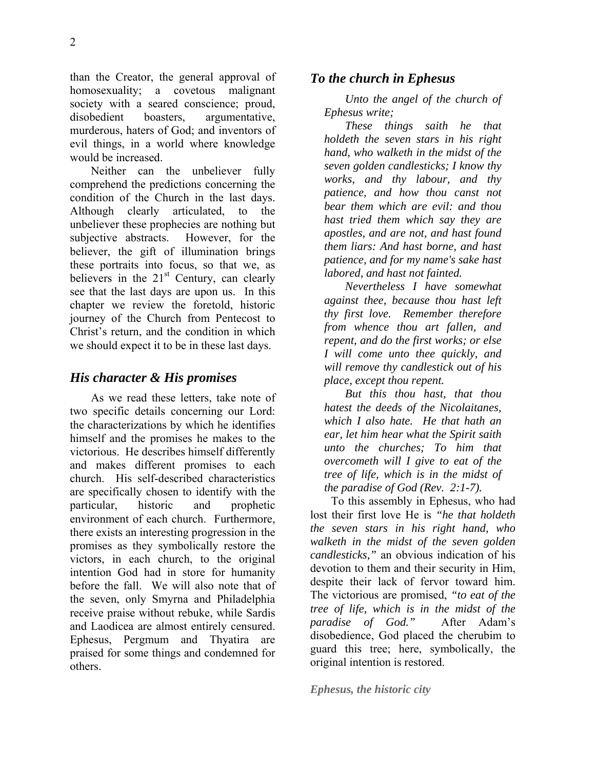than the Creator, the general approval of homosexuality; a covetous malignant society with a seared conscience; proud, disobedient boasters, argumentative, murderous, haters of God; and inventors of evil things, in a world where knowledge would be increased.

Neither can the unbeliever fully comprehend the predictions concerning the condition of the Church in the last days. Although clearly articulated, to the unbeliever these prophecies are nothing but subjective abstracts. However, for the believer, the gift of illumination brings these portraits into focus, so that we, as believers in the  $21<sup>st</sup>$  Century, can clearly see that the last days are upon us. In this chapter we review the foretold, historic journey of the Church from Pentecost to Christ's return, and the condition in which we should expect it to be in these last days.

### *His character & His promises*

As we read these letters, take note of two specific details concerning our Lord: the characterizations by which he identifies himself and the promises he makes to the victorious. He describes himself differently and makes different promises to each church. His self-described characteristics are specifically chosen to identify with the particular, historic and prophetic environment of each church. Furthermore, there exists an interesting progression in the promises as they symbolically restore the victors, in each church, to the original intention God had in store for humanity before the fall. We will also note that of the seven, only Smyrna and Philadelphia receive praise without rebuke, while Sardis and Laodicea are almost entirely censured. Ephesus, Pergmum and Thyatira are praised for some things and condemned for others.

### *To the church in Ephesus*

*Unto the angel of the church of Ephesus write;* 

*These things saith he that holdeth the seven stars in his right hand, who walketh in the midst of the seven golden candlesticks; I know thy works, and thy labour, and thy patience, and how thou canst not bear them which are evil: and thou hast tried them which say they are apostles, and are not, and hast found them liars: And hast borne, and hast patience, and for my name's sake hast labored, and hast not fainted.* 

*Nevertheless I have somewhat against thee, because thou hast left thy first love. Remember therefore from whence thou art fallen, and repent, and do the first works; or else I will come unto thee quickly, and will remove thy candlestick out of his place, except thou repent.* 

*But this thou hast, that thou hatest the deeds of the Nicolaitanes, which I also hate. He that hath an ear, let him hear what the Spirit saith unto the churches; To him that overcometh will I give to eat of the tree of life, which is in the midst of the paradise of God (Rev. 2:1-7).* 

To this assembly in Ephesus, who had lost their first love He is *"he that holdeth the seven stars in his right hand, who walketh in the midst of the seven golden candlesticks,"* an obvious indication of his devotion to them and their security in Him, despite their lack of fervor toward him. The victorious are promised, *"to eat of the tree of life, which is in the midst of the paradise of God."* After Adam's disobedience, God placed the cherubim to guard this tree; here, symbolically, the original intention is restored.

*Ephesus, the historic city*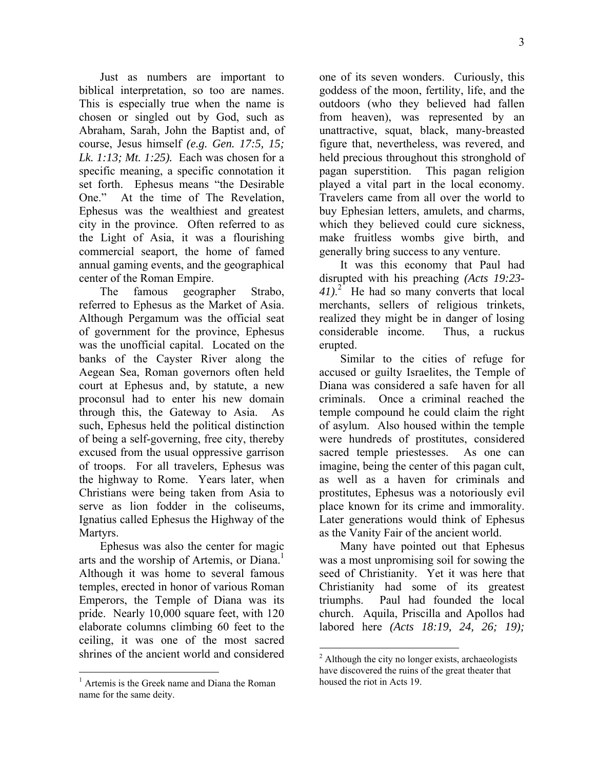Just as numbers are important to biblical interpretation, so too are names. This is especially true when the name is chosen or singled out by God, such as Abraham, Sarah, John the Baptist and, of course, Jesus himself *(e.g. Gen. 17:5, 15; Lk. 1:13; Mt. 1:25).* Each was chosen for a specific meaning, a specific connotation it set forth. Ephesus means "the Desirable One." At the time of The Revelation, Ephesus was the wealthiest and greatest city in the province. Often referred to as the Light of Asia, it was a flourishing commercial seaport, the home of famed annual gaming events, and the geographical center of the Roman Empire.

The famous geographer Strabo, referred to Ephesus as the Market of Asia. Although Pergamum was the official seat of government for the province, Ephesus was the unofficial capital. Located on the banks of the Cayster River along the Aegean Sea, Roman governors often held court at Ephesus and, by statute, a new proconsul had to enter his new domain through this, the Gateway to Asia. As such, Ephesus held the political distinction of being a self-governing, free city, thereby excused from the usual oppressive garrison of troops. For all travelers, Ephesus was the highway to Rome. Years later, when Christians were being taken from Asia to serve as lion fodder in the coliseums, Ignatius called Ephesus the Highway of the Martyrs.

Ephesus was also the center for magic arts and the worship of Artemis, or Diana.<sup>1</sup> Although it was home to several famous temples, erected in honor of various Roman Emperors, the Temple of Diana was its pride. Nearly 10,000 square feet, with 120 elaborate columns climbing 60 feet to the ceiling, it was one of the most sacred shrines of the ancient world and considered

1

one of its seven wonders. Curiously, this goddess of the moon, fertility, life, and the outdoors (who they believed had fallen from heaven), was represented by an unattractive, squat, black, many-breasted figure that, nevertheless, was revered, and held precious throughout this stronghold of pagan superstition. This pagan religion played a vital part in the local economy. Travelers came from all over the world to buy Ephesian letters, amulets, and charms, which they believed could cure sickness, make fruitless wombs give birth, and generally bring success to any venture.

It was this economy that Paul had disrupted with his preaching *(Acts 19:23- 41)*. 2 He had so many converts that local merchants, sellers of religious trinkets, realized they might be in danger of losing considerable income. Thus, a ruckus erupted.

Similar to the cities of refuge for accused or guilty Israelites, the Temple of Diana was considered a safe haven for all criminals. Once a criminal reached the temple compound he could claim the right of asylum. Also housed within the temple were hundreds of prostitutes, considered sacred temple priestesses. As one can imagine, being the center of this pagan cult, as well as a haven for criminals and prostitutes, Ephesus was a notoriously evil place known for its crime and immorality. Later generations would think of Ephesus as the Vanity Fair of the ancient world.

Many have pointed out that Ephesus was a most unpromising soil for sowing the seed of Christianity. Yet it was here that Christianity had some of its greatest triumphs. Paul had founded the local church. Aquila, Priscilla and Apollos had labored here *(Acts 18:19, 24, 26; 19);* 

<sup>&</sup>lt;sup>1</sup> Artemis is the Greek name and Diana the Roman name for the same deity.

<sup>&</sup>lt;sup>2</sup> Although the city no longer exists, archaeologists have discovered the ruins of the great theater that housed the riot in Acts 19.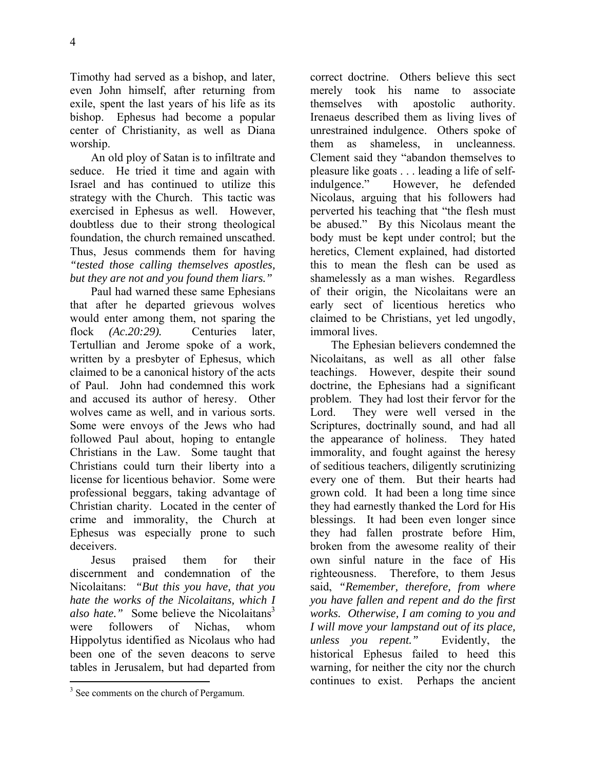Timothy had served as a bishop, and later, even John himself, after returning from exile, spent the last years of his life as its bishop. Ephesus had become a popular center of Christianity, as well as Diana worship.

An old ploy of Satan is to infiltrate and seduce. He tried it time and again with Israel and has continued to utilize this strategy with the Church. This tactic was exercised in Ephesus as well. However, doubtless due to their strong theological foundation, the church remained unscathed. Thus, Jesus commends them for having *"tested those calling themselves apostles, but they are not and you found them liars."*

Paul had warned these same Ephesians that after he departed grievous wolves would enter among them, not sparing the flock *(Ac.20:29)*. Centuries later, Tertullian and Jerome spoke of a work, written by a presbyter of Ephesus, which claimed to be a canonical history of the acts of Paul. John had condemned this work and accused its author of heresy. Other wolves came as well, and in various sorts. Some were envoys of the Jews who had followed Paul about, hoping to entangle Christians in the Law. Some taught that Christians could turn their liberty into a license for licentious behavior. Some were professional beggars, taking advantage of Christian charity. Located in the center of crime and immorality, the Church at Ephesus was especially prone to such deceivers.

Jesus praised them for their discernment and condemnation of the Nicolaitans: *"But this you have, that you hate the works of the Nicolaitans, which I also hate.*" Some believe the Nicolaitans<sup>3</sup> were followers of Nichas, whom Hippolytus identified as Nicolaus who had been one of the seven deacons to serve tables in Jerusalem, but had departed from

1

correct doctrine. Others believe this sect merely took his name to associate themselves with apostolic authority. Irenaeus described them as living lives of unrestrained indulgence. Others spoke of them as shameless, in uncleanness. Clement said they "abandon themselves to pleasure like goats . . . leading a life of selfindulgence." However, he defended Nicolaus, arguing that his followers had perverted his teaching that "the flesh must be abused." By this Nicolaus meant the body must be kept under control; but the heretics, Clement explained, had distorted this to mean the flesh can be used as shamelessly as a man wishes. Regardless of their origin, the Nicolaitans were an early sect of licentious heretics who claimed to be Christians, yet led ungodly, immoral lives.

The Ephesian believers condemned the Nicolaitans, as well as all other false teachings. However, despite their sound doctrine, the Ephesians had a significant problem. They had lost their fervor for the Lord. They were well versed in the Scriptures, doctrinally sound, and had all the appearance of holiness. They hated immorality, and fought against the heresy of seditious teachers, diligently scrutinizing every one of them. But their hearts had grown cold. It had been a long time since they had earnestly thanked the Lord for His blessings. It had been even longer since they had fallen prostrate before Him, broken from the awesome reality of their own sinful nature in the face of His righteousness. Therefore, to them Jesus said, *"Remember, therefore, from where you have fallen and repent and do the first works. Otherwise, I am coming to you and I will move your lampstand out of its place, unless you repent."* Evidently, the historical Ephesus failed to heed this warning, for neither the city nor the church continues to exist. Perhaps the ancient

<sup>&</sup>lt;sup>3</sup> See comments on the church of Pergamum.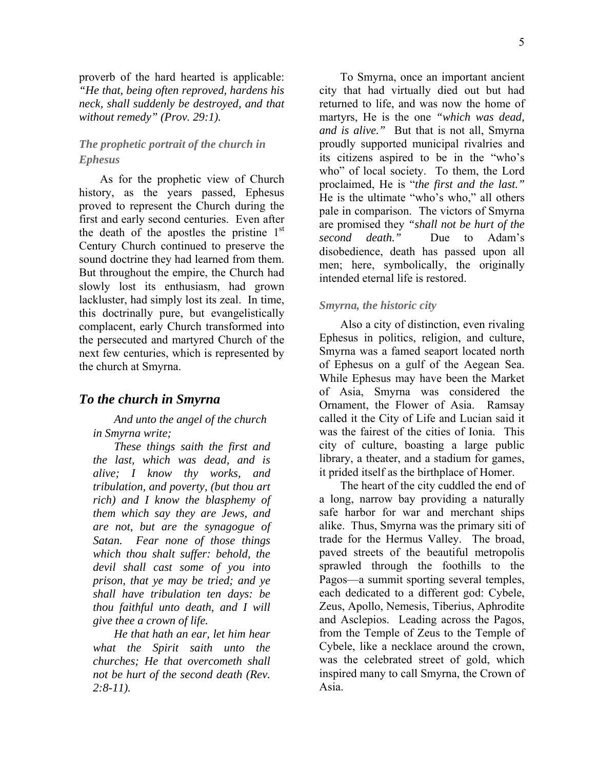proverb of the hard hearted is applicable: *"He that, being often reproved, hardens his neck, shall suddenly be destroyed, and that without remedy" (Prov. 29:1).*

### *The prophetic portrait of the church in Ephesus*

As for the prophetic view of Church history, as the years passed, Ephesus proved to represent the Church during the first and early second centuries. Even after the death of the apostles the pristine  $1<sup>st</sup>$ Century Church continued to preserve the sound doctrine they had learned from them. But throughout the empire, the Church had slowly lost its enthusiasm, had grown lackluster, had simply lost its zeal. In time, this doctrinally pure, but evangelistically complacent, early Church transformed into the persecuted and martyred Church of the next few centuries, which is represented by the church at Smyrna.

#### *To the church in Smyrna*

*And unto the angel of the church in Smyrna write;* 

*These things saith the first and the last, which was dead, and is alive; I know thy works, and tribulation, and poverty, (but thou art rich) and I know the blasphemy of them which say they are Jews, and are not, but are the synagogue of Satan. Fear none of those things which thou shalt suffer: behold, the devil shall cast some of you into prison, that ye may be tried; and ye shall have tribulation ten days: be thou faithful unto death, and I will give thee a crown of life.* 

*He that hath an ear, let him hear what the Spirit saith unto the churches; He that overcometh shall not be hurt of the second death (Rev. 2:8-11).* 

To Smyrna, once an important ancient city that had virtually died out but had returned to life, and was now the home of martyrs, He is the one *"which was dead, and is alive."* But that is not all, Smyrna proudly supported municipal rivalries and its citizens aspired to be in the "who's who" of local society. To them, the Lord proclaimed, He is "*the first and the last."* He is the ultimate "who's who," all others pale in comparison. The victors of Smyrna are promised they *"shall not be hurt of the second death."* Due to Adam's disobedience, death has passed upon all men; here, symbolically, the originally intended eternal life is restored.

#### *Smyrna, the historic city*

Also a city of distinction, even rivaling Ephesus in politics, religion, and culture, Smyrna was a famed seaport located north of Ephesus on a gulf of the Aegean Sea. While Ephesus may have been the Market of Asia, Smyrna was considered the Ornament, the Flower of Asia. Ramsay called it the City of Life and Lucian said it was the fairest of the cities of Ionia. This city of culture, boasting a large public library, a theater, and a stadium for games, it prided itself as the birthplace of Homer.

The heart of the city cuddled the end of a long, narrow bay providing a naturally safe harbor for war and merchant ships alike. Thus, Smyrna was the primary siti of trade for the Hermus Valley. The broad, paved streets of the beautiful metropolis sprawled through the foothills to the Pagos—a summit sporting several temples, each dedicated to a different god: Cybele, Zeus, Apollo, Nemesis, Tiberius, Aphrodite and Asclepios. Leading across the Pagos, from the Temple of Zeus to the Temple of Cybele, like a necklace around the crown, was the celebrated street of gold, which inspired many to call Smyrna, the Crown of Asia.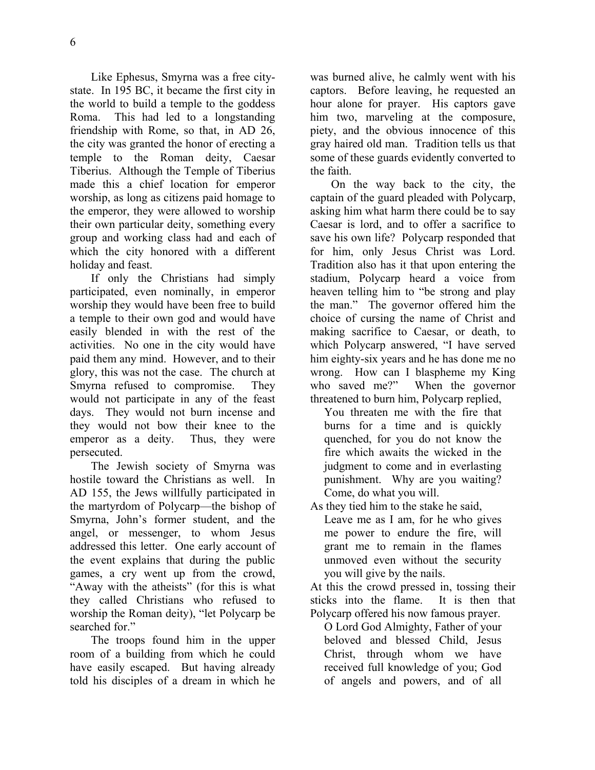Like Ephesus, Smyrna was a free citystate. In 195 BC, it became the first city in the world to build a temple to the goddess Roma. This had led to a longstanding friendship with Rome, so that, in AD 26, the city was granted the honor of erecting a temple to the Roman deity, Caesar Tiberius. Although the Temple of Tiberius made this a chief location for emperor worship, as long as citizens paid homage to the emperor, they were allowed to worship their own particular deity, something every group and working class had and each of which the city honored with a different holiday and feast.

If only the Christians had simply participated, even nominally, in emperor worship they would have been free to build a temple to their own god and would have easily blended in with the rest of the activities. No one in the city would have paid them any mind. However, and to their glory, this was not the case. The church at Smyrna refused to compromise. They would not participate in any of the feast days. They would not burn incense and they would not bow their knee to the emperor as a deity. Thus, they were persecuted.

The Jewish society of Smyrna was hostile toward the Christians as well. In AD 155, the Jews willfully participated in the martyrdom of Polycarp—the bishop of Smyrna, John's former student, and the angel, or messenger, to whom Jesus addressed this letter. One early account of the event explains that during the public games, a cry went up from the crowd, "Away with the atheists" (for this is what they called Christians who refused to worship the Roman deity), "let Polycarp be searched for."

The troops found him in the upper room of a building from which he could have easily escaped. But having already told his disciples of a dream in which he was burned alive, he calmly went with his captors. Before leaving, he requested an hour alone for prayer. His captors gave him two, marveling at the composure, piety, and the obvious innocence of this gray haired old man. Tradition tells us that some of these guards evidently converted to the faith.

On the way back to the city, the captain of the guard pleaded with Polycarp, asking him what harm there could be to say Caesar is lord, and to offer a sacrifice to save his own life? Polycarp responded that for him, only Jesus Christ was Lord. Tradition also has it that upon entering the stadium, Polycarp heard a voice from heaven telling him to "be strong and play the man." The governor offered him the choice of cursing the name of Christ and making sacrifice to Caesar, or death, to which Polycarp answered, "I have served him eighty-six years and he has done me no wrong. How can I blaspheme my King who saved me?" When the governor threatened to burn him, Polycarp replied,

You threaten me with the fire that burns for a time and is quickly quenched, for you do not know the fire which awaits the wicked in the judgment to come and in everlasting punishment. Why are you waiting? Come, do what you will.

As they tied him to the stake he said,

Leave me as I am, for he who gives me power to endure the fire, will grant me to remain in the flames unmoved even without the security you will give by the nails.

At this the crowd pressed in, tossing their sticks into the flame. It is then that Polycarp offered his now famous prayer.

O Lord God Almighty, Father of your beloved and blessed Child, Jesus Christ, through whom we have received full knowledge of you; God of angels and powers, and of all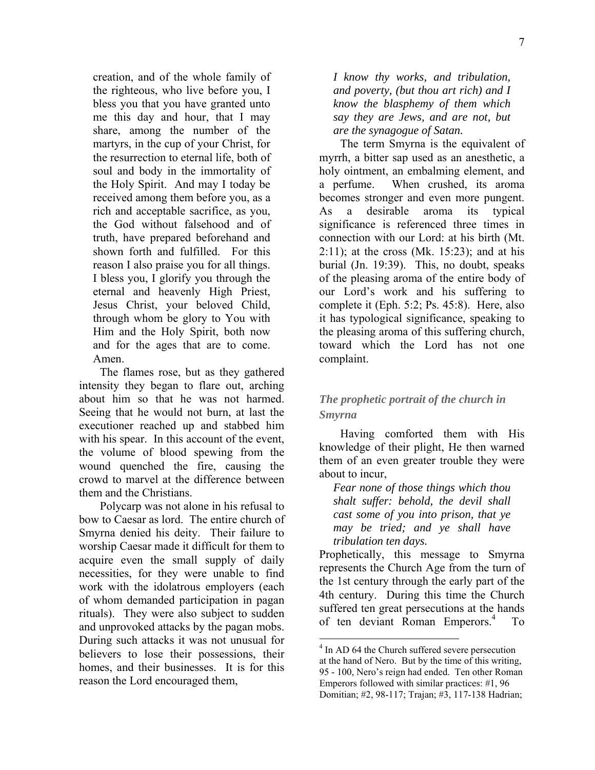creation, and of the whole family of the righteous, who live before you, I bless you that you have granted unto me this day and hour, that I may share, among the number of the martyrs, in the cup of your Christ, for the resurrection to eternal life, both of soul and body in the immortality of the Holy Spirit. And may I today be received among them before you, as a rich and acceptable sacrifice, as you, the God without falsehood and of truth, have prepared beforehand and shown forth and fulfilled. For this reason I also praise you for all things. I bless you, I glorify you through the eternal and heavenly High Priest, Jesus Christ, your beloved Child, through whom be glory to You with Him and the Holy Spirit, both now and for the ages that are to come. Amen.

The flames rose, but as they gathered intensity they began to flare out, arching about him so that he was not harmed. Seeing that he would not burn, at last the executioner reached up and stabbed him with his spear. In this account of the event, the volume of blood spewing from the wound quenched the fire, causing the crowd to marvel at the difference between them and the Christians.

Polycarp was not alone in his refusal to bow to Caesar as lord. The entire church of Smyrna denied his deity. Their failure to worship Caesar made it difficult for them to acquire even the small supply of daily necessities, for they were unable to find work with the idolatrous employers (each of whom demanded participation in pagan rituals). They were also subject to sudden and unprovoked attacks by the pagan mobs. During such attacks it was not unusual for believers to lose their possessions, their homes, and their businesses. It is for this reason the Lord encouraged them,

*I know thy works, and tribulation, and poverty, (but thou art rich) and I know the blasphemy of them which say they are Jews, and are not, but are the synagogue of Satan.* 

The term Smyrna is the equivalent of myrrh, a bitter sap used as an anesthetic, a holy ointment, an embalming element, and a perfume. When crushed, its aroma becomes stronger and even more pungent. As a desirable aroma its typical significance is referenced three times in connection with our Lord: at his birth (Mt.  $2:11$ ); at the cross (Mk. 15:23); and at his burial (Jn. 19:39). This, no doubt, speaks of the pleasing aroma of the entire body of our Lord's work and his suffering to complete it (Eph. 5:2; Ps. 45:8). Here, also it has typological significance, speaking to the pleasing aroma of this suffering church, toward which the Lord has not one complaint.

# *The prophetic portrait of the church in Smyrna*

Having comforted them with His knowledge of their plight, He then warned them of an even greater trouble they were about to incur,

*Fear none of those things which thou shalt suffer: behold, the devil shall cast some of you into prison, that ye may be tried; and ye shall have tribulation ten days.* 

Prophetically, this message to Smyrna represents the Church Age from the turn of the 1st century through the early part of the 4th century. During this time the Church suffered ten great persecutions at the hands of ten deviant Roman Emperors.4 To

<sup>&</sup>lt;sup>4</sup> In AD 64 the Church suffered severe persecution at the hand of Nero. But by the time of this writing, 95 - 100, Nero's reign had ended. Ten other Roman Emperors followed with similar practices: #1, 96 Domitian; #2, 98-117; Trajan; #3, 117-138 Hadrian;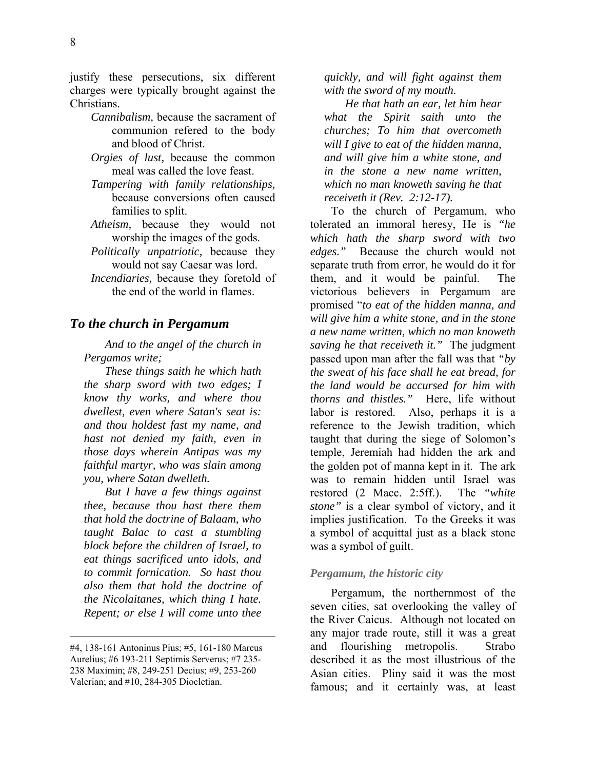justify these persecutions, six different charges were typically brought against the Christians.

- *Cannibalism,* because the sacrament of communion refered to the body and blood of Christ.
- *Orgies of lust,* because the common meal was called the love feast.
- *Tampering with family relationships,* because conversions often caused families to split.
- *Atheism,* because they would not worship the images of the gods.
- *Politically unpatriotic,* because they would not say Caesar was lord.
- *Incendiaries,* because they foretold of the end of the world in flames.

#### *To the church in Pergamum*

*And to the angel of the church in Pergamos write;* 

*These things saith he which hath the sharp sword with two edges; I know thy works, and where thou dwellest, even where Satan's seat is: and thou holdest fast my name, and hast not denied my faith, even in those days wherein Antipas was my faithful martyr, who was slain among you, where Satan dwelleth.* 

*But I have a few things against thee, because thou hast there them that hold the doctrine of Balaam, who taught Balac to cast a stumbling block before the children of Israel, to eat things sacrificed unto idols, and to commit fornication. So hast thou also them that hold the doctrine of the Nicolaitanes, which thing I hate. Repent; or else I will come unto thee* 

 $\overline{a}$ 

*quickly, and will fight against them with the sword of my mouth.* 

*He that hath an ear, let him hear what the Spirit saith unto the churches; To him that overcometh will I give to eat of the hidden manna, and will give him a white stone, and in the stone a new name written, which no man knoweth saving he that receiveth it (Rev. 2:12-17).* 

To the church of Pergamum, who tolerated an immoral heresy, He is *"he which hath the sharp sword with two edges."* Because the church would not separate truth from error, he would do it for them, and it would be painful. The victorious believers in Pergamum are promised "*to eat of the hidden manna, and will give him a white stone, and in the stone a new name written, which no man knoweth saving he that receiveth it."* The judgment passed upon man after the fall was that *"by the sweat of his face shall he eat bread, for the land would be accursed for him with thorns and thistles."* Here, life without labor is restored. Also, perhaps it is a reference to the Jewish tradition, which taught that during the siege of Solomon's temple, Jeremiah had hidden the ark and the golden pot of manna kept in it. The ark was to remain hidden until Israel was restored (2 Macc. 2:5ff.). The *"white stone"* is a clear symbol of victory, and it implies justification. To the Greeks it was a symbol of acquittal just as a black stone was a symbol of guilt.

#### *Pergamum, the historic city*

Pergamum, the northernmost of the seven cities, sat overlooking the valley of the River Caicus. Although not located on any major trade route, still it was a great and flourishing metropolis. Strabo described it as the most illustrious of the Asian cities. Pliny said it was the most famous; and it certainly was, at least

<sup>#4, 138-161</sup> Antoninus Pius; #5, 161-180 Marcus Aurelius; #6 193-211 Septimis Serverus; #7 235- 238 Maximin; #8, 249-251 Decius; #9, 253-260 Valerian; and #10, 284-305 Diocletian.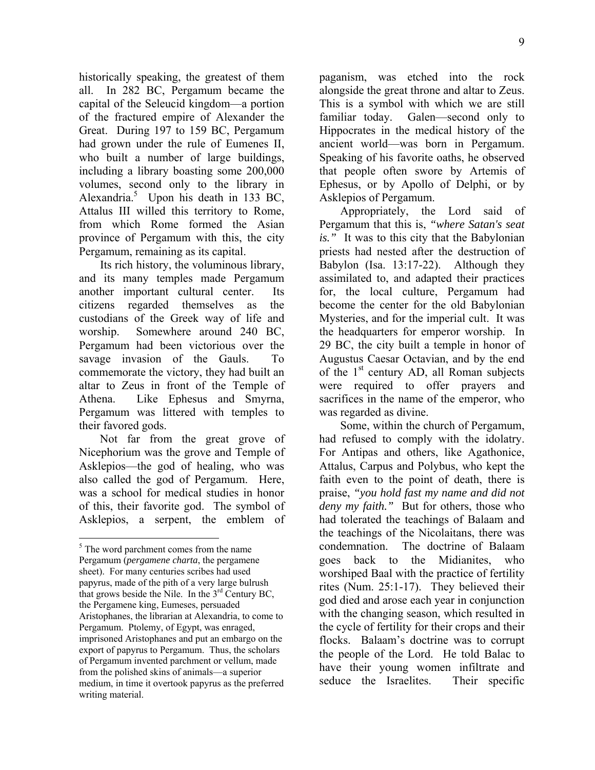historically speaking, the greatest of them all. In 282 BC, Pergamum became the capital of the Seleucid kingdom—a portion of the fractured empire of Alexander the Great. During 197 to 159 BC, Pergamum had grown under the rule of Eumenes II, who built a number of large buildings, including a library boasting some 200,000 volumes, second only to the library in Alexandria.<sup>5</sup> Upon his death in 133 BC, Attalus III willed this territory to Rome, from which Rome formed the Asian province of Pergamum with this, the city Pergamum, remaining as its capital.

Its rich history, the voluminous library, and its many temples made Pergamum another important cultural center. Its citizens regarded themselves as the custodians of the Greek way of life and worship. Somewhere around 240 BC, Pergamum had been victorious over the savage invasion of the Gauls. To commemorate the victory, they had built an altar to Zeus in front of the Temple of Athena. Like Ephesus and Smyrna, Pergamum was littered with temples to their favored gods.

Not far from the great grove of Nicephorium was the grove and Temple of Asklepios—the god of healing, who was also called the god of Pergamum. Here, was a school for medical studies in honor of this, their favorite god. The symbol of Asklepios, a serpent, the emblem of

1

paganism, was etched into the rock alongside the great throne and altar to Zeus. This is a symbol with which we are still familiar today. Galen—second only to Hippocrates in the medical history of the ancient world—was born in Pergamum. Speaking of his favorite oaths, he observed that people often swore by Artemis of Ephesus, or by Apollo of Delphi, or by Asklepios of Pergamum.

Appropriately, the Lord said of Pergamum that this is, *"where Satan's seat is."* It was to this city that the Babylonian priests had nested after the destruction of Babylon (Isa. 13:17-22). Although they assimilated to, and adapted their practices for, the local culture, Pergamum had become the center for the old Babylonian Mysteries, and for the imperial cult. It was the headquarters for emperor worship. In 29 BC, the city built a temple in honor of Augustus Caesar Octavian, and by the end of the  $1<sup>st</sup>$  century AD, all Roman subjects were required to offer prayers and sacrifices in the name of the emperor, who was regarded as divine.

Some, within the church of Pergamum, had refused to comply with the idolatry. For Antipas and others, like Agathonice, Attalus, Carpus and Polybus, who kept the faith even to the point of death, there is praise, *"you hold fast my name and did not deny my faith."* But for others, those who had tolerated the teachings of Balaam and the teachings of the Nicolaitans, there was condemnation. The doctrine of Balaam goes back to the Midianites, who worshiped Baal with the practice of fertility rites (Num. 25:1-17). They believed their god died and arose each year in conjunction with the changing season, which resulted in the cycle of fertility for their crops and their flocks. Balaam's doctrine was to corrupt the people of the Lord. He told Balac to have their young women infiltrate and seduce the Israelites. Their specific

<sup>&</sup>lt;sup>5</sup> The word parchment comes from the name Pergamum (*pergamene charta*, the pergamene sheet). For many centuries scribes had used papyrus, made of the pith of a very large bulrush that grows beside the Nile. In the  $3<sup>rd</sup>$  Century BC, the Pergamene king, Eumeses, persuaded Aristophanes, the librarian at Alexandria, to come to Pergamum. Ptolemy, of Egypt, was enraged, imprisoned Aristophanes and put an embargo on the export of papyrus to Pergamum. Thus, the scholars of Pergamum invented parchment or vellum, made from the polished skins of animals—a superior medium, in time it overtook papyrus as the preferred writing material.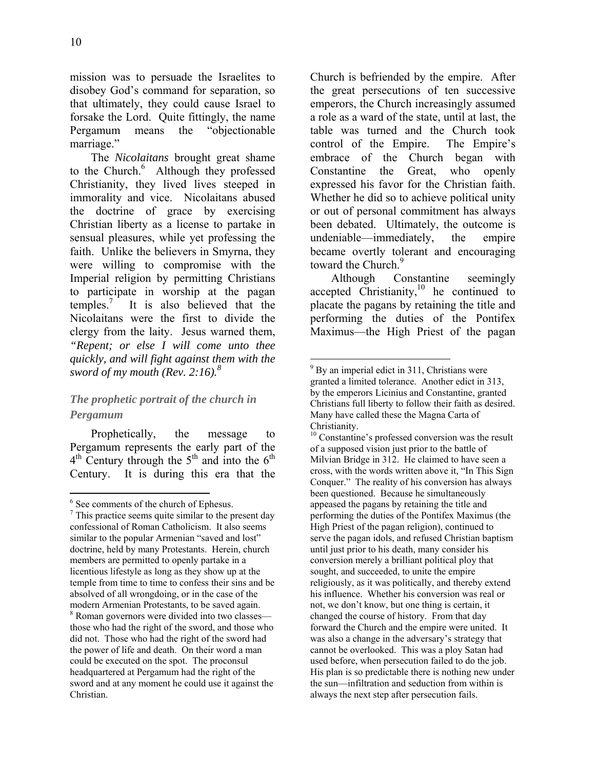mission was to persuade the Israelites to disobey God's command for separation, so that ultimately, they could cause Israel to forsake the Lord. Quite fittingly, the name Pergamum means the "objectionable marriage."

The *Nicolaitans* brought great shame to the Church.<sup>6</sup> Although they professed Christianity, they lived lives steeped in immorality and vice. Nicolaitans abused the doctrine of grace by exercising Christian liberty as a license to partake in sensual pleasures, while yet professing the faith. Unlike the believers in Smyrna, they were willing to compromise with the Imperial religion by permitting Christians to participate in worship at the pagan temples.<sup>7</sup> It is also believed that the Nicolaitans were the first to divide the clergy from the laity. Jesus warned them, *"Repent; or else I will come unto thee quickly, and will fight against them with the sword of my mouth (Rev. 2:16).*<sup>8</sup>

# *The prophetic portrait of the church in Pergamum*

Prophetically, the message to Pergamum represents the early part of the  $4<sup>th</sup>$  Century through the  $5<sup>th</sup>$  and into the  $6<sup>th</sup>$ Century. It is during this era that the Church is befriended by the empire. After the great persecutions of ten successive emperors, the Church increasingly assumed a role as a ward of the state, until at last, the table was turned and the Church took control of the Empire. The Empire's embrace of the Church began with Constantine the Great, who openly expressed his favor for the Christian faith. Whether he did so to achieve political unity or out of personal commitment has always been debated. Ultimately, the outcome is undeniable—immediately, the empire became overtly tolerant and encouraging toward the Church.<sup>9</sup>

Although Constantine seemingly accepted Christianity,10 he continued to placate the pagans by retaining the title and performing the duties of the Pontifex Maximus—the High Priest of the pagan

<sup>1</sup> 6 See comments of the church of Ephesus.

 $\frac{7}{7}$  This practice seems quite similar to the present day confessional of Roman Catholicism. It also seems similar to the popular Armenian "saved and lost" doctrine, held by many Protestants. Herein, church members are permitted to openly partake in a licentious lifestyle as long as they show up at the temple from time to time to confess their sins and be absolved of all wrongdoing, or in the case of the modern Armenian Protestants, to be saved again. <sup>8</sup> Roman governors were divided into two classes those who had the right of the sword, and those who did not. Those who had the right of the sword had the power of life and death. On their word a man could be executed on the spot. The proconsul headquartered at Pergamum had the right of the sword and at any moment he could use it against the Christian.

<sup>&</sup>lt;sup>9</sup> By an imperial edict in 311, Christians were granted a limited tolerance. Another edict in 313, by the emperors Licinius and Constantine, granted Christians full liberty to follow their faith as desired. Many have called these the Magna Carta of Christianity.

<sup>&</sup>lt;sup>10</sup> Constantine's professed conversion was the result of a supposed vision just prior to the battle of Milvian Bridge in 312. He claimed to have seen a cross, with the words written above it, "In This Sign Conquer." The reality of his conversion has always been questioned. Because he simultaneously appeased the pagans by retaining the title and performing the duties of the Pontifex Maximus (the High Priest of the pagan religion), continued to serve the pagan idols, and refused Christian baptism until just prior to his death, many consider his conversion merely a brilliant political ploy that sought, and succeeded, to unite the empire religiously, as it was politically, and thereby extend his influence. Whether his conversion was real or not, we don't know, but one thing is certain, it changed the course of history. From that day forward the Church and the empire were united. It was also a change in the adversary's strategy that cannot be overlooked. This was a ploy Satan had used before, when persecution failed to do the job. His plan is so predictable there is nothing new under the sun—infiltration and seduction from within is always the next step after persecution fails.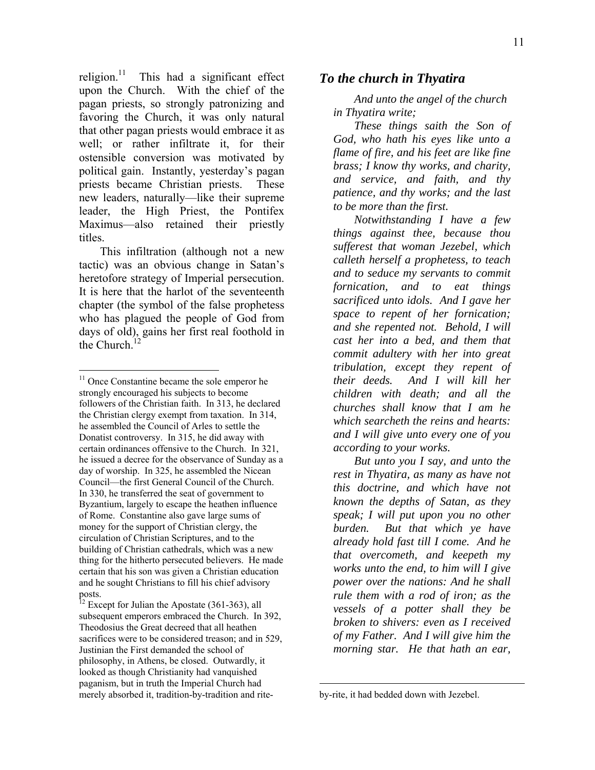religion. $11$  This had a significant effect upon the Church. With the chief of the pagan priests, so strongly patronizing and favoring the Church, it was only natural that other pagan priests would embrace it as well; or rather infiltrate it, for their ostensible conversion was motivated by political gain. Instantly, yesterday's pagan priests became Christian priests. These new leaders, naturally—like their supreme leader, the High Priest, the Pontifex Maximus—also retained their priestly titles.

This infiltration (although not a new tactic) was an obvious change in Satan's heretofore strategy of Imperial persecution. It is here that the harlot of the seventeenth chapter (the symbol of the false prophetess who has plagued the people of God from days of old), gains her first real foothold in the Church. $<sup>1</sup>$ </sup>

1

#### *To the church in Thyatira*

*And unto the angel of the church in Thyatira write;* 

*These things saith the Son of God, who hath his eyes like unto a flame of fire, and his feet are like fine brass; I know thy works, and charity, and service, and faith, and thy patience, and thy works; and the last to be more than the first.* 

*Notwithstanding I have a few things against thee, because thou sufferest that woman Jezebel, which calleth herself a prophetess, to teach and to seduce my servants to commit fornication, and to eat things sacrificed unto idols. And I gave her space to repent of her fornication; and she repented not. Behold, I will cast her into a bed, and them that commit adultery with her into great tribulation, except they repent of their deeds. And I will kill her children with death; and all the churches shall know that I am he which searcheth the reins and hearts: and I will give unto every one of you according to your works.* 

*But unto you I say, and unto the rest in Thyatira, as many as have not this doctrine, and which have not known the depths of Satan, as they speak; I will put upon you no other burden. But that which ye have already hold fast till I come. And he that overcometh, and keepeth my works unto the end, to him will I give power over the nations: And he shall rule them with a rod of iron; as the vessels of a potter shall they be broken to shivers: even as I received of my Father. And I will give him the morning star. He that hath an ear,* 

<sup>&</sup>lt;sup>11</sup> Once Constantine became the sole emperor he strongly encouraged his subjects to become followers of the Christian faith. In 313, he declared the Christian clergy exempt from taxation. In 314, he assembled the Council of Arles to settle the Donatist controversy. In 315, he did away with certain ordinances offensive to the Church. In 321, he issued a decree for the observance of Sunday as a day of worship. In 325, he assembled the Nicean Council—the first General Council of the Church. In 330, he transferred the seat of government to Byzantium, largely to escape the heathen influence of Rome. Constantine also gave large sums of money for the support of Christian clergy, the circulation of Christian Scriptures, and to the building of Christian cathedrals, which was a new thing for the hitherto persecuted believers. He made certain that his son was given a Christian education and he sought Christians to fill his chief advisory posts.

 $12$  Except for Julian the Apostate (361-363), all subsequent emperors embraced the Church. In 392, Theodosius the Great decreed that all heathen sacrifices were to be considered treason; and in 529, Justinian the First demanded the school of philosophy, in Athens, be closed. Outwardly, it looked as though Christianity had vanquished paganism, but in truth the Imperial Church had merely absorbed it, tradition-by-tradition and rite-

by-rite, it had bedded down with Jezebel.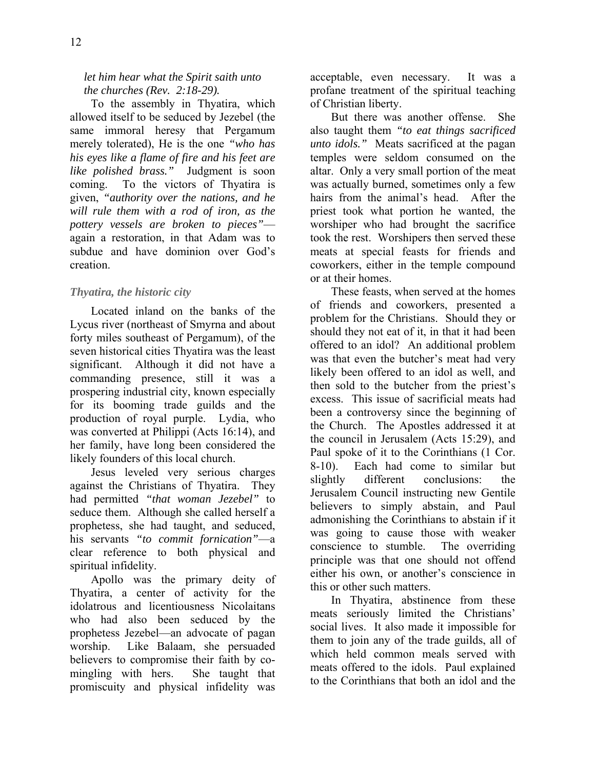### *let him hear what the Spirit saith unto the churches (Rev. 2:18-29).*

To the assembly in Thyatira, which allowed itself to be seduced by Jezebel (the same immoral heresy that Pergamum merely tolerated), He is the one *"who has his eyes like a flame of fire and his feet are like polished brass."* Judgment is soon coming. To the victors of Thyatira is given, *"authority over the nations, and he will rule them with a rod of iron, as the pottery vessels are broken to pieces"* again a restoration, in that Adam was to subdue and have dominion over God's creation.

### *Thyatira, the historic city*

Located inland on the banks of the Lycus river (northeast of Smyrna and about forty miles southeast of Pergamum), of the seven historical cities Thyatira was the least significant. Although it did not have a commanding presence, still it was a prospering industrial city, known especially for its booming trade guilds and the production of royal purple. Lydia, who was converted at Philippi (Acts 16:14), and her family, have long been considered the likely founders of this local church.

Jesus leveled very serious charges against the Christians of Thyatira. They had permitted *"that woman Jezebel"* to seduce them. Although she called herself a prophetess, she had taught, and seduced, his servants *"to commit fornication"*—a clear reference to both physical and spiritual infidelity.

Apollo was the primary deity of Thyatira, a center of activity for the idolatrous and licentiousness Nicolaitans who had also been seduced by the prophetess Jezebel—an advocate of pagan worship. Like Balaam, she persuaded believers to compromise their faith by comingling with hers. She taught that promiscuity and physical infidelity was acceptable, even necessary. It was a profane treatment of the spiritual teaching of Christian liberty.

But there was another offense. She also taught them *"to eat things sacrificed unto idols."* Meats sacrificed at the pagan temples were seldom consumed on the altar. Only a very small portion of the meat was actually burned, sometimes only a few hairs from the animal's head. After the priest took what portion he wanted, the worshiper who had brought the sacrifice took the rest. Worshipers then served these meats at special feasts for friends and coworkers, either in the temple compound or at their homes.

These feasts, when served at the homes of friends and coworkers, presented a problem for the Christians. Should they or should they not eat of it, in that it had been offered to an idol? An additional problem was that even the butcher's meat had very likely been offered to an idol as well, and then sold to the butcher from the priest's excess. This issue of sacrificial meats had been a controversy since the beginning of the Church. The Apostles addressed it at the council in Jerusalem (Acts 15:29), and Paul spoke of it to the Corinthians (1 Cor. 8-10). Each had come to similar but slightly different conclusions: the Jerusalem Council instructing new Gentile believers to simply abstain, and Paul admonishing the Corinthians to abstain if it was going to cause those with weaker conscience to stumble. The overriding principle was that one should not offend either his own, or another's conscience in this or other such matters.

In Thyatira, abstinence from these meats seriously limited the Christians' social lives. It also made it impossible for them to join any of the trade guilds, all of which held common meals served with meats offered to the idols. Paul explained to the Corinthians that both an idol and the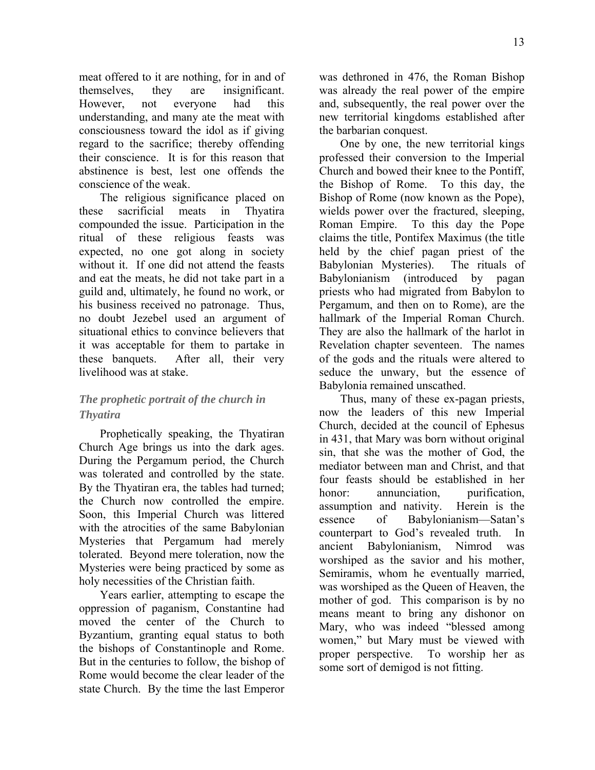meat offered to it are nothing, for in and of themselves, they are insignificant. However, not everyone had this understanding, and many ate the meat with consciousness toward the idol as if giving regard to the sacrifice; thereby offending their conscience. It is for this reason that abstinence is best, lest one offends the conscience of the weak.

The religious significance placed on these sacrificial meats in Thyatira compounded the issue. Participation in the ritual of these religious feasts was expected, no one got along in society without it. If one did not attend the feasts and eat the meats, he did not take part in a guild and, ultimately, he found no work, or his business received no patronage. Thus, no doubt Jezebel used an argument of situational ethics to convince believers that it was acceptable for them to partake in these banquets. After all, their very livelihood was at stake.

### *The prophetic portrait of the church in Thyatira*

Prophetically speaking, the Thyatiran Church Age brings us into the dark ages. During the Pergamum period, the Church was tolerated and controlled by the state. By the Thyatiran era, the tables had turned; the Church now controlled the empire. Soon, this Imperial Church was littered with the atrocities of the same Babylonian Mysteries that Pergamum had merely tolerated. Beyond mere toleration, now the Mysteries were being practiced by some as holy necessities of the Christian faith.

Years earlier, attempting to escape the oppression of paganism, Constantine had moved the center of the Church to Byzantium, granting equal status to both the bishops of Constantinople and Rome. But in the centuries to follow, the bishop of Rome would become the clear leader of the state Church. By the time the last Emperor

was dethroned in 476, the Roman Bishop was already the real power of the empire and, subsequently, the real power over the new territorial kingdoms established after the barbarian conquest.

One by one, the new territorial kings professed their conversion to the Imperial Church and bowed their knee to the Pontiff, the Bishop of Rome. To this day, the Bishop of Rome (now known as the Pope), wields power over the fractured, sleeping, Roman Empire. To this day the Pope claims the title, Pontifex Maximus (the title held by the chief pagan priest of the Babylonian Mysteries). The rituals of Babylonianism (introduced by pagan priests who had migrated from Babylon to Pergamum, and then on to Rome), are the hallmark of the Imperial Roman Church. They are also the hallmark of the harlot in Revelation chapter seventeen. The names of the gods and the rituals were altered to seduce the unwary, but the essence of Babylonia remained unscathed.

Thus, many of these ex-pagan priests, now the leaders of this new Imperial Church, decided at the council of Ephesus in 431, that Mary was born without original sin, that she was the mother of God, the mediator between man and Christ, and that four feasts should be established in her honor: annunciation, purification, assumption and nativity. Herein is the essence of Babylonianism—Satan's counterpart to God's revealed truth. In ancient Babylonianism, Nimrod was worshiped as the savior and his mother, Semiramis, whom he eventually married, was worshiped as the Queen of Heaven, the mother of god. This comparison is by no means meant to bring any dishonor on Mary, who was indeed "blessed among women," but Mary must be viewed with proper perspective. To worship her as some sort of demigod is not fitting.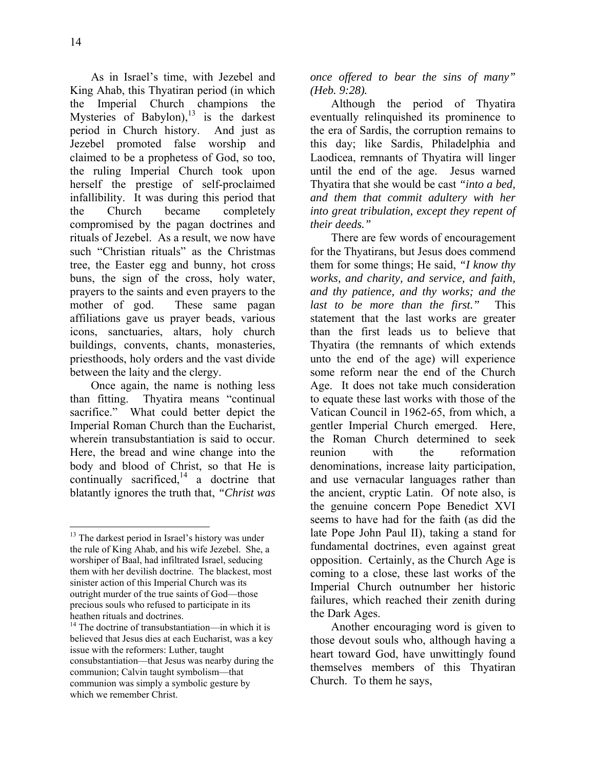1

As in Israel's time, with Jezebel and King Ahab, this Thyatiran period (in which the Imperial Church champions the Mysteries of Babylon), $^{13}$  is the darkest period in Church history. And just as Jezebel promoted false worship and claimed to be a prophetess of God, so too, the ruling Imperial Church took upon herself the prestige of self-proclaimed infallibility. It was during this period that the Church became completely compromised by the pagan doctrines and rituals of Jezebel. As a result, we now have such "Christian rituals" as the Christmas tree, the Easter egg and bunny, hot cross buns, the sign of the cross, holy water, prayers to the saints and even prayers to the mother of god. These same pagan affiliations gave us prayer beads, various icons, sanctuaries, altars, holy church buildings, convents, chants, monasteries, priesthoods, holy orders and the vast divide between the laity and the clergy.

Once again, the name is nothing less than fitting. Thyatira means "continual sacrifice." What could better depict the Imperial Roman Church than the Eucharist, wherein transubstantiation is said to occur. Here, the bread and wine change into the body and blood of Christ, so that He is continually sacrificed, $14$  a doctrine that blatantly ignores the truth that, *"Christ was*  *once offered to bear the sins of many" (Heb. 9:28).*

Although the period of Thyatira eventually relinquished its prominence to the era of Sardis, the corruption remains to this day; like Sardis, Philadelphia and Laodicea, remnants of Thyatira will linger until the end of the age. Jesus warned Thyatira that she would be cast *"into a bed, and them that commit adultery with her into great tribulation, except they repent of their deeds."*

There are few words of encouragement for the Thyatirans, but Jesus does commend them for some things; He said, *"I know thy works, and charity, and service, and faith, and thy patience, and thy works; and the last to be more than the first."* This statement that the last works are greater than the first leads us to believe that Thyatira (the remnants of which extends unto the end of the age) will experience some reform near the end of the Church Age. It does not take much consideration to equate these last works with those of the Vatican Council in 1962-65, from which, a gentler Imperial Church emerged. Here, the Roman Church determined to seek reunion with the reformation denominations, increase laity participation, and use vernacular languages rather than the ancient, cryptic Latin. Of note also, is the genuine concern Pope Benedict XVI seems to have had for the faith (as did the late Pope John Paul II), taking a stand for fundamental doctrines, even against great opposition. Certainly, as the Church Age is coming to a close, these last works of the Imperial Church outnumber her historic failures, which reached their zenith during the Dark Ages.

Another encouraging word is given to those devout souls who, although having a heart toward God, have unwittingly found themselves members of this Thyatiran Church. To them he says,

<sup>&</sup>lt;sup>13</sup> The darkest period in Israel's history was under the rule of King Ahab, and his wife Jezebel. She, a worshiper of Baal, had infiltrated Israel, seducing them with her devilish doctrine. The blackest, most sinister action of this Imperial Church was its outright murder of the true saints of God—those precious souls who refused to participate in its heathen rituals and doctrines.

 $14$  The doctrine of transubstantiation—in which it is believed that Jesus dies at each Eucharist, was a key issue with the reformers: Luther, taught consubstantiation—that Jesus was nearby during the communion; Calvin taught symbolism—that communion was simply a symbolic gesture by which we remember Christ.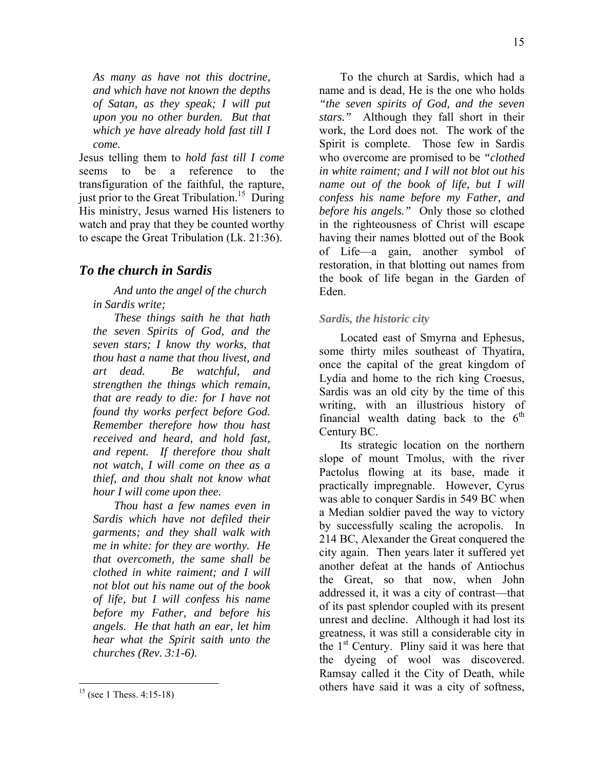*As many as have not this doctrine, and which have not known the depths of Satan, as they speak; I will put upon you no other burden. But that which ye have already hold fast till I come.*

Jesus telling them to *hold fast till I come* seems to be a reference to the transfiguration of the faithful, the rapture, just prior to the Great Tribulation.<sup>15</sup> During His ministry, Jesus warned His listeners to watch and pray that they be counted worthy to escape the Great Tribulation (Lk. 21:36).

### *To the church in Sardis*

*And unto the angel of the church in Sardis write;* 

*These things saith he that hath the seven Spirits of God, and the seven stars; I know thy works, that thou hast a name that thou livest, and art dead. Be watchful, and strengthen the things which remain, that are ready to die: for I have not found thy works perfect before God. Remember therefore how thou hast received and heard, and hold fast, and repent. If therefore thou shalt not watch, I will come on thee as a thief, and thou shalt not know what hour I will come upon thee.* 

*Thou hast a few names even in Sardis which have not defiled their garments; and they shall walk with me in white: for they are worthy. He that overcometh, the same shall be clothed in white raiment; and I will not blot out his name out of the book of life, but I will confess his name before my Father, and before his angels. He that hath an ear, let him hear what the Spirit saith unto the churches (Rev. 3:1-6).* 

To the church at Sardis, which had a name and is dead, He is the one who holds *"the seven spirits of God, and the seven stars."* Although they fall short in their work, the Lord does not. The work of the Spirit is complete. Those few in Sardis who overcome are promised to be *"clothed in white raiment; and I will not blot out his name out of the book of life, but I will confess his name before my Father, and before his angels."* Only those so clothed in the righteousness of Christ will escape having their names blotted out of the Book of Life—a gain, another symbol of restoration, in that blotting out names from the book of life began in the Garden of Eden.

#### *Sardis, the historic city*

Located east of Smyrna and Ephesus, some thirty miles southeast of Thyatira, once the capital of the great kingdom of Lydia and home to the rich king Croesus, Sardis was an old city by the time of this writing, with an illustrious history of financial wealth dating back to the  $6<sup>th</sup>$ Century BC.

Its strategic location on the northern slope of mount Tmolus, with the river Pactolus flowing at its base, made it practically impregnable. However, Cyrus was able to conquer Sardis in 549 BC when a Median soldier paved the way to victory by successfully scaling the acropolis. In 214 BC, Alexander the Great conquered the city again. Then years later it suffered yet another defeat at the hands of Antiochus the Great, so that now, when John addressed it, it was a city of contrast—that of its past splendor coupled with its present unrest and decline. Although it had lost its greatness, it was still a considerable city in the  $1<sup>st</sup>$  Century. Pliny said it was here that the dyeing of wool was discovered. Ramsay called it the City of Death, while others have said it was a city of softness,

<u>.</u>

 $15$  (see 1 Thess. 4:15-18)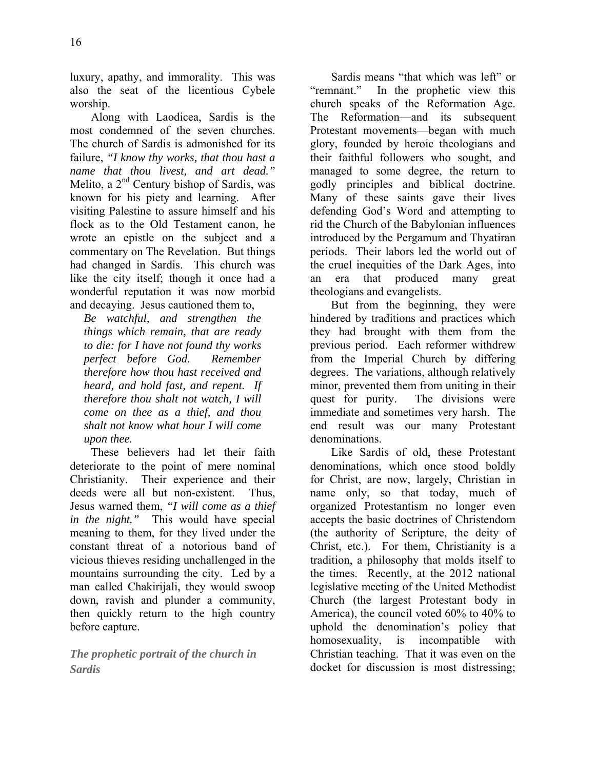luxury, apathy, and immorality. This was also the seat of the licentious Cybele worship.

Along with Laodicea, Sardis is the most condemned of the seven churches. The church of Sardis is admonished for its failure, *"I know thy works, that thou hast a name that thou livest, and art dead."* Melito, a  $2<sup>nd</sup>$  Century bishop of Sardis, was known for his piety and learning. After visiting Palestine to assure himself and his flock as to the Old Testament canon, he wrote an epistle on the subject and a commentary on The Revelation. But things had changed in Sardis. This church was like the city itself; though it once had a wonderful reputation it was now morbid and decaying. Jesus cautioned them to,

*Be watchful, and strengthen the things which remain, that are ready to die: for I have not found thy works perfect before God. Remember therefore how thou hast received and heard, and hold fast, and repent. If therefore thou shalt not watch, I will come on thee as a thief, and thou shalt not know what hour I will come upon thee.*

These believers had let their faith deteriorate to the point of mere nominal Christianity. Their experience and their deeds were all but non-existent. Thus, Jesus warned them, *"I will come as a thief in the night."* This would have special meaning to them, for they lived under the constant threat of a notorious band of vicious thieves residing unchallenged in the mountains surrounding the city. Led by a man called Chakirijali, they would swoop down, ravish and plunder a community, then quickly return to the high country before capture.

*The prophetic portrait of the church in Sardis* 

Sardis means "that which was left" or "remnant." In the prophetic view this church speaks of the Reformation Age. The Reformation—and its subsequent Protestant movements—began with much glory, founded by heroic theologians and their faithful followers who sought, and managed to some degree, the return to godly principles and biblical doctrine. Many of these saints gave their lives defending God's Word and attempting to rid the Church of the Babylonian influences introduced by the Pergamum and Thyatiran periods. Their labors led the world out of the cruel inequities of the Dark Ages, into an era that produced many great theologians and evangelists.

But from the beginning, they were hindered by traditions and practices which they had brought with them from the previous period. Each reformer withdrew from the Imperial Church by differing degrees. The variations, although relatively minor, prevented them from uniting in their quest for purity. The divisions were immediate and sometimes very harsh. The end result was our many Protestant denominations.

Like Sardis of old, these Protestant denominations, which once stood boldly for Christ, are now, largely, Christian in name only, so that today, much of organized Protestantism no longer even accepts the basic doctrines of Christendom (the authority of Scripture, the deity of Christ, etc.). For them, Christianity is a tradition, a philosophy that molds itself to the times. Recently, at the 2012 national legislative meeting of the United Methodist Church (the largest Protestant body in America), the council voted 60% to 40% to uphold the denomination's policy that homosexuality, is incompatible with Christian teaching. That it was even on the docket for discussion is most distressing;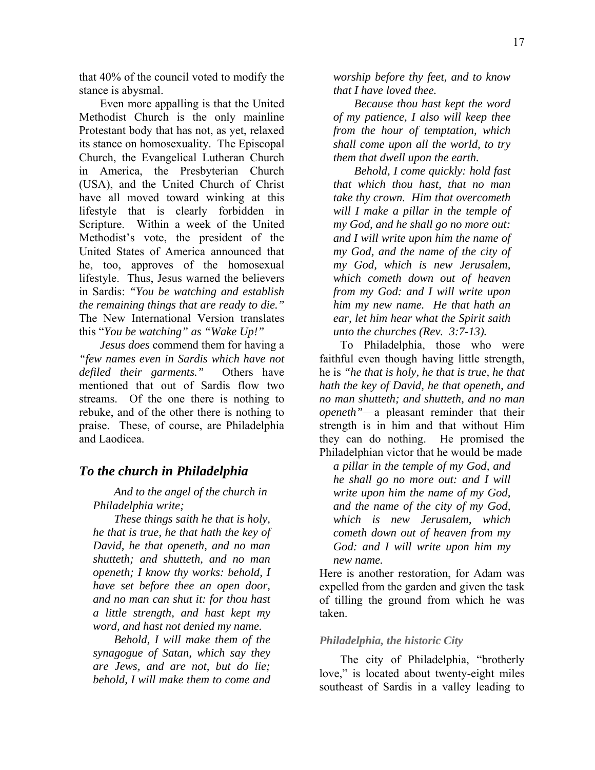that 40% of the council voted to modify the stance is abysmal.

Even more appalling is that the United Methodist Church is the only mainline Protestant body that has not, as yet, relaxed its stance on homosexuality. The Episcopal Church, the Evangelical Lutheran Church in America, the Presbyterian Church (USA), and the United Church of Christ have all moved toward winking at this lifestyle that is clearly forbidden in Scripture. Within a week of the United Methodist's vote, the president of the United States of America announced that he, too, approves of the homosexual lifestyle. Thus, Jesus warned the believers in Sardis: *"You be watching and establish the remaining things that are ready to die."* The New International Version translates this "*You be watching" as "Wake Up!"* 

*Jesus does* commend them for having a *"few names even in Sardis which have not defiled their garments."* Others have mentioned that out of Sardis flow two streams. Of the one there is nothing to rebuke, and of the other there is nothing to praise. These, of course, are Philadelphia and Laodicea.

### *To the church in Philadelphia*

*And to the angel of the church in Philadelphia write;* 

*These things saith he that is holy, he that is true, he that hath the key of David, he that openeth, and no man shutteth; and shutteth, and no man openeth; I know thy works: behold, I have set before thee an open door, and no man can shut it: for thou hast a little strength, and hast kept my word, and hast not denied my name.* 

*Behold, I will make them of the synagogue of Satan, which say they are Jews, and are not, but do lie; behold, I will make them to come and* 

*worship before thy feet, and to know that I have loved thee.* 

*Because thou hast kept the word of my patience, I also will keep thee from the hour of temptation, which shall come upon all the world, to try them that dwell upon the earth.* 

*Behold, I come quickly: hold fast that which thou hast, that no man take thy crown. Him that overcometh will I make a pillar in the temple of my God, and he shall go no more out: and I will write upon him the name of my God, and the name of the city of my God, which is new Jerusalem, which cometh down out of heaven from my God: and I will write upon him my new name. He that hath an ear, let him hear what the Spirit saith unto the churches (Rev. 3:7-13).* 

To Philadelphia, those who were faithful even though having little strength, he is *"he that is holy, he that is true, he that hath the key of David, he that openeth, and no man shutteth; and shutteth, and no man openeth"*—a pleasant reminder that their strength is in him and that without Him they can do nothing. He promised the Philadelphian victor that he would be made

*a pillar in the temple of my God, and he shall go no more out: and I will write upon him the name of my God, and the name of the city of my God, which is new Jerusalem, which cometh down out of heaven from my God: and I will write upon him my new name.*

Here is another restoration, for Adam was expelled from the garden and given the task of tilling the ground from which he was taken.

#### *Philadelphia, the historic City*

The city of Philadelphia, "brotherly love," is located about twenty-eight miles southeast of Sardis in a valley leading to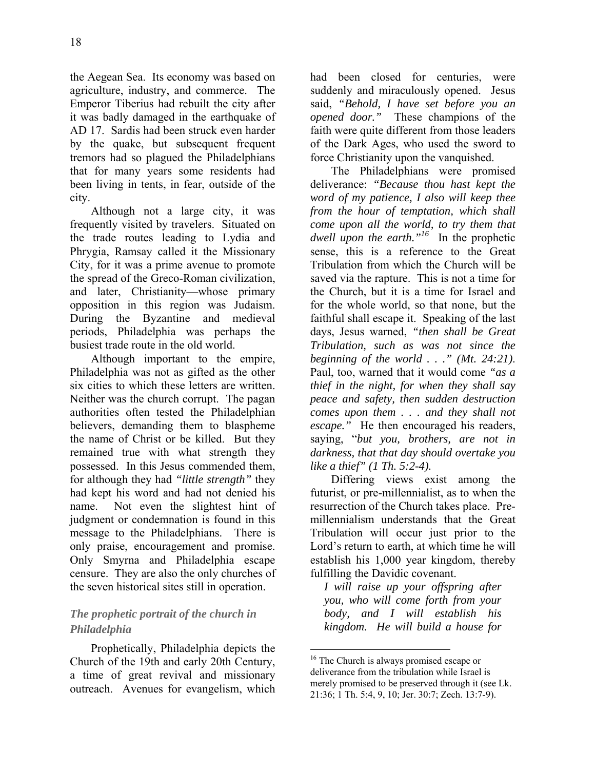the Aegean Sea. Its economy was based on agriculture, industry, and commerce. The Emperor Tiberius had rebuilt the city after it was badly damaged in the earthquake of AD 17. Sardis had been struck even harder by the quake, but subsequent frequent tremors had so plagued the Philadelphians that for many years some residents had been living in tents, in fear, outside of the city.

Although not a large city, it was frequently visited by travelers. Situated on the trade routes leading to Lydia and Phrygia, Ramsay called it the Missionary City, for it was a prime avenue to promote the spread of the Greco-Roman civilization, and later, Christianity—whose primary opposition in this region was Judaism. During the Byzantine and medieval periods, Philadelphia was perhaps the busiest trade route in the old world.

Although important to the empire, Philadelphia was not as gifted as the other six cities to which these letters are written. Neither was the church corrupt. The pagan authorities often tested the Philadelphian believers, demanding them to blaspheme the name of Christ or be killed. But they remained true with what strength they possessed. In this Jesus commended them, for although they had *"little strength"* they had kept his word and had not denied his name. Not even the slightest hint of judgment or condemnation is found in this message to the Philadelphians. There is only praise, encouragement and promise. Only Smyrna and Philadelphia escape censure. They are also the only churches of the seven historical sites still in operation.

### *The prophetic portrait of the church in Philadelphia*

Prophetically, Philadelphia depicts the Church of the 19th and early 20th Century, a time of great revival and missionary outreach. Avenues for evangelism, which had been closed for centuries, were suddenly and miraculously opened. Jesus said, *"Behold, I have set before you an opened door."* These champions of the faith were quite different from those leaders of the Dark Ages, who used the sword to force Christianity upon the vanquished.

The Philadelphians were promised deliverance: *"Because thou hast kept the word of my patience, I also will keep thee from the hour of temptation, which shall come upon all the world, to try them that dwell upon the earth."16* In the prophetic sense, this is a reference to the Great Tribulation from which the Church will be saved via the rapture. This is not a time for the Church, but it is a time for Israel and for the whole world, so that none, but the faithful shall escape it. Speaking of the last days, Jesus warned, *"then shall be Great Tribulation, such as was not since the beginning of the world . . ." (Mt. 24:21)*. Paul, too, warned that it would come *"as a thief in the night, for when they shall say peace and safety, then sudden destruction comes upon them . . . and they shall not escape."* He then encouraged his readers, saying, "*but you, brothers, are not in darkness, that that day should overtake you like a thief" (1 Th. 5:2-4).* 

Differing views exist among the futurist, or pre-millennialist, as to when the resurrection of the Church takes place. Premillennialism understands that the Great Tribulation will occur just prior to the Lord's return to earth, at which time he will establish his 1,000 year kingdom, thereby fulfilling the Davidic covenant.

*I will raise up your offspring after you, who will come forth from your body, and I will establish his kingdom. He will build a house for* 

<sup>&</sup>lt;sup>16</sup> The Church is always promised escape or deliverance from the tribulation while Israel is merely promised to be preserved through it (see Lk. 21:36; 1 Th. 5:4, 9, 10; Jer. 30:7; Zech. 13:7-9).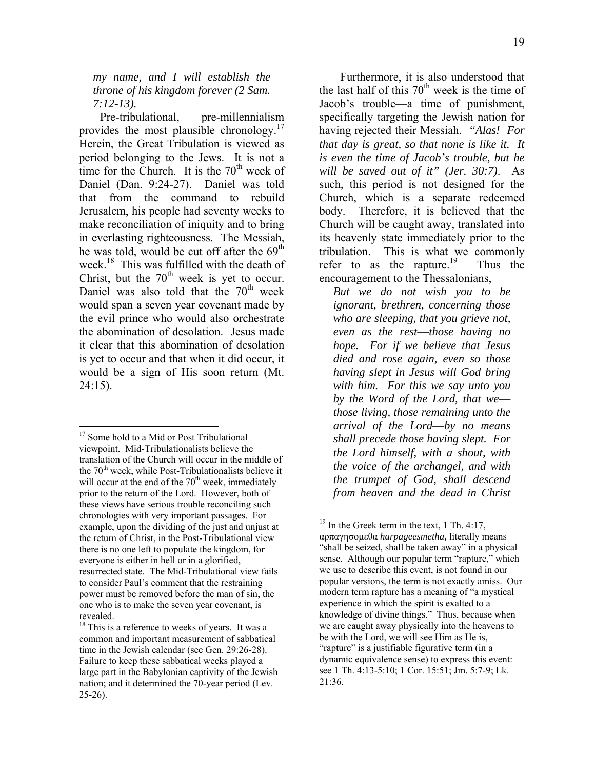*my name, and I will establish the throne of his kingdom forever (2 Sam. 7:12-13).*

Pre-tribulational, pre-millennialism provides the most plausible chronology.<sup>17</sup> Herein, the Great Tribulation is viewed as period belonging to the Jews. It is not a time for the Church. It is the  $70<sup>th</sup>$  week of Daniel (Dan. 9:24-27). Daniel was told that from the command to rebuild Jerusalem, his people had seventy weeks to make reconciliation of iniquity and to bring in everlasting righteousness. The Messiah, he was told, would be cut off after the  $69<sup>th</sup>$ week.<sup>18</sup> This was fulfilled with the death of Christ, but the  $70<sup>th</sup>$  week is yet to occur. Daniel was also told that the  $70<sup>th</sup>$  week would span a seven year covenant made by the evil prince who would also orchestrate the abomination of desolation. Jesus made it clear that this abomination of desolation is yet to occur and that when it did occur, it would be a sign of His soon return (Mt. 24:15).

1

Furthermore, it is also understood that the last half of this  $70<sup>th</sup>$  week is the time of Jacob's trouble—a time of punishment, specifically targeting the Jewish nation for having rejected their Messiah. *"Alas! For that day is great, so that none is like it. It is even the time of Jacob's trouble, but he will be saved out of it" (Jer. 30:7)*. As such, this period is not designed for the Church, which is a separate redeemed body. Therefore, it is believed that the Church will be caught away, translated into its heavenly state immediately prior to the tribulation. This is what we commonly refer to as the rapture.<sup>19</sup> Thus the encouragement to the Thessalonians,

*But we do not wish you to be ignorant, brethren, concerning those who are sleeping, that you grieve not, even as the rest*—*those having no hope. For if we believe that Jesus died and rose again, even so those having slept in Jesus will God bring with him. For this we say unto you by the Word of the Lord, that we those living, those remaining unto the arrival of the Lord*—*by no means shall precede those having slept. For the Lord himself, with a shout, with the voice of the archangel, and with the trumpet of God, shall descend from heaven and the dead in Christ* 

<sup>&</sup>lt;sup>17</sup> Some hold to a Mid or Post Tribulational viewpoint. Mid-Tribulationalists believe the translation of the Church will occur in the middle of the  $70<sup>th</sup>$  week, while Post-Tribulationalists believe it will occur at the end of the  $70<sup>th</sup>$  week, immediately prior to the return of the Lord. However, both of these views have serious trouble reconciling such chronologies with very important passages. For example, upon the dividing of the just and unjust at the return of Christ, in the Post-Tribulational view there is no one left to populate the kingdom, for everyone is either in hell or in a glorified, resurrected state. The Mid-Tribulational view fails to consider Paul's comment that the restraining power must be removed before the man of sin, the one who is to make the seven year covenant, is revealed.

 $18$  This is a reference to weeks of years. It was a common and important measurement of sabbatical time in the Jewish calendar (see Gen. 29:26-28). Failure to keep these sabbatical weeks played a large part in the Babylonian captivity of the Jewish nation; and it determined the 70-year period (Lev.  $25-26$ ).

 $19$  In the Greek term in the text, 1 Th. 4:17, αρπαγησομεθα *harpageesmetha,* literally means "shall be seized, shall be taken away" in a physical sense. Although our popular term "rapture," which we use to describe this event, is not found in our popular versions, the term is not exactly amiss. Our modern term rapture has a meaning of "a mystical experience in which the spirit is exalted to a knowledge of divine things." Thus, because when we are caught away physically into the heavens to be with the Lord, we will see Him as He is, "rapture" is a justifiable figurative term (in a dynamic equivalence sense) to express this event: see 1 Th. 4:13-5:10; 1 Cor. 15:51; Jm. 5:7-9; Lk. 21:36.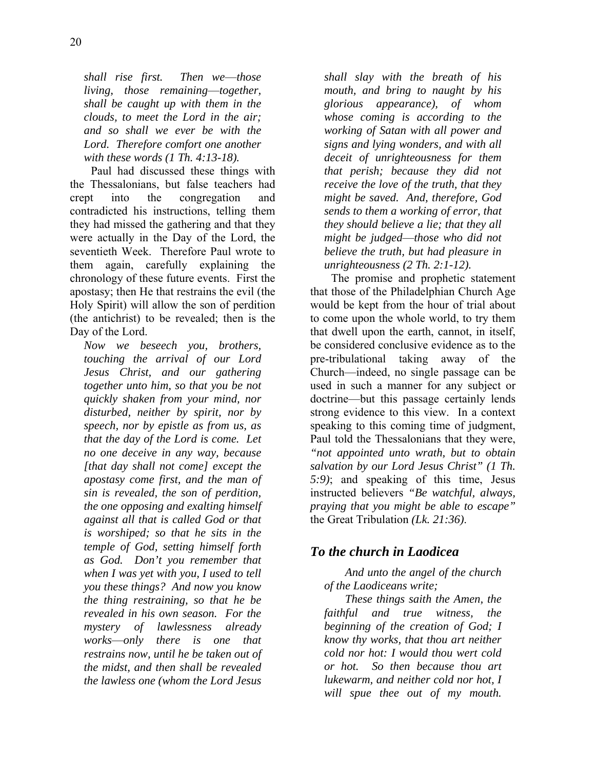*shall rise first. Then we*—*those living, those remaining*—*together, shall be caught up with them in the clouds, to meet the Lord in the air; and so shall we ever be with the Lord. Therefore comfort one another with these words (1 Th. 4:13-18).* 

Paul had discussed these things with the Thessalonians, but false teachers had crept into the congregation and contradicted his instructions, telling them they had missed the gathering and that they were actually in the Day of the Lord, the seventieth Week. Therefore Paul wrote to them again, carefully explaining the chronology of these future events. First the apostasy; then He that restrains the evil (the Holy Spirit) will allow the son of perdition (the antichrist) to be revealed; then is the Day of the Lord.

*Now we beseech you, brothers, touching the arrival of our Lord Jesus Christ, and our gathering together unto him, so that you be not quickly shaken from your mind, nor disturbed, neither by spirit, nor by speech, nor by epistle as from us, as that the day of the Lord is come. Let no one deceive in any way, because [that day shall not come] except the apostasy come first, and the man of sin is revealed, the son of perdition, the one opposing and exalting himself against all that is called God or that is worshiped; so that he sits in the temple of God, setting himself forth as God. Don't you remember that when I was yet with you, I used to tell you these things? And now you know the thing restraining, so that he be revealed in his own season. For the mystery of lawlessness already works*—*only there is one that restrains now, until he be taken out of the midst, and then shall be revealed the lawless one (whom the Lord Jesus* 

*shall slay with the breath of his mouth, and bring to naught by his glorious appearance), of whom whose coming is according to the working of Satan with all power and signs and lying wonders, and with all deceit of unrighteousness for them that perish; because they did not receive the love of the truth, that they might be saved. And, therefore, God sends to them a working of error, that they should believe a lie; that they all might be judged*—*those who did not believe the truth, but had pleasure in unrighteousness (2 Th. 2:1-12).* 

The promise and prophetic statement that those of the Philadelphian Church Age would be kept from the hour of trial about to come upon the whole world, to try them that dwell upon the earth, cannot, in itself, be considered conclusive evidence as to the pre-tribulational taking away of the Church—indeed, no single passage can be used in such a manner for any subject or doctrine—but this passage certainly lends strong evidence to this view. In a context speaking to this coming time of judgment, Paul told the Thessalonians that they were, *"not appointed unto wrath, but to obtain salvation by our Lord Jesus Christ" (1 Th. 5:9)*; and speaking of this time, Jesus instructed believers *"Be watchful, always, praying that you might be able to escape"*  the Great Tribulation *(Lk. 21:36)*.

# *To the church in Laodicea*

*And unto the angel of the church of the Laodiceans write;* 

*These things saith the Amen, the faithful and true witness, the beginning of the creation of God; I know thy works, that thou art neither cold nor hot: I would thou wert cold or hot. So then because thou art lukewarm, and neither cold nor hot, I will spue thee out of my mouth.*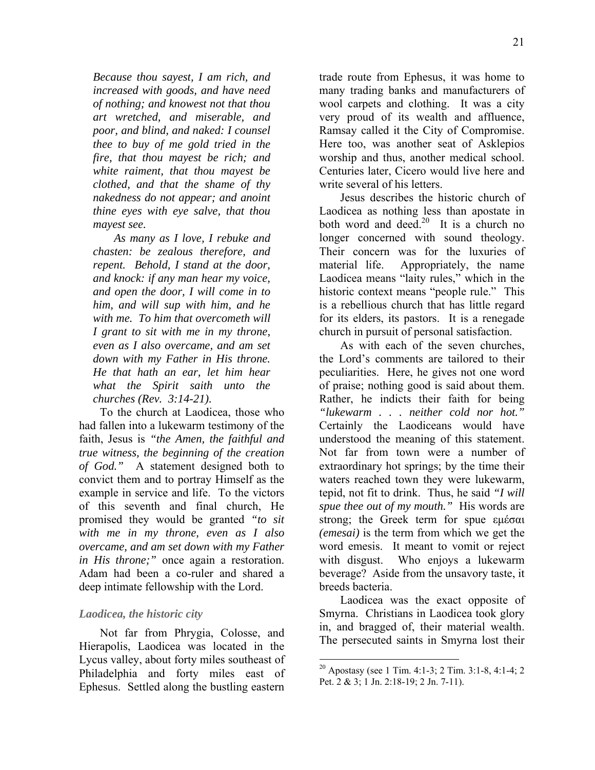*Because thou sayest, I am rich, and increased with goods, and have need of nothing; and knowest not that thou art wretched, and miserable, and poor, and blind, and naked: I counsel thee to buy of me gold tried in the fire, that thou mayest be rich; and white raiment, that thou mayest be clothed, and that the shame of thy nakedness do not appear; and anoint thine eyes with eye salve, that thou mayest see.* 

*As many as I love, I rebuke and chasten: be zealous therefore, and repent. Behold, I stand at the door, and knock: if any man hear my voice, and open the door, I will come in to him, and will sup with him, and he with me. To him that overcometh will I grant to sit with me in my throne, even as I also overcame, and am set down with my Father in His throne. He that hath an ear, let him hear what the Spirit saith unto the churches (Rev. 3:14-21).* 

To the church at Laodicea, those who had fallen into a lukewarm testimony of the faith, Jesus is *"the Amen, the faithful and true witness, the beginning of the creation of God."* A statement designed both to convict them and to portray Himself as the example in service and life. To the victors of this seventh and final church, He promised they would be granted *"to sit with me in my throne, even as I also overcame, and am set down with my Father in His throne;"* once again a restoration. Adam had been a co-ruler and shared a deep intimate fellowship with the Lord.

#### *Laodicea, the historic city*

Not far from Phrygia, Colosse, and Hierapolis, Laodicea was located in the Lycus valley, about forty miles southeast of Philadelphia and forty miles east of Ephesus. Settled along the bustling eastern

trade route from Ephesus, it was home to many trading banks and manufacturers of wool carpets and clothing. It was a city very proud of its wealth and affluence, Ramsay called it the City of Compromise. Here too, was another seat of Asklepios worship and thus, another medical school. Centuries later, Cicero would live here and write several of his letters.

Jesus describes the historic church of Laodicea as nothing less than apostate in both word and deed.<sup>20</sup> It is a church no longer concerned with sound theology. Their concern was for the luxuries of material life. Appropriately, the name Laodicea means "laity rules," which in the historic context means "people rule." This is a rebellious church that has little regard for its elders, its pastors. It is a renegade church in pursuit of personal satisfaction.

As with each of the seven churches, the Lord's comments are tailored to their peculiarities. Here, he gives not one word of praise; nothing good is said about them. Rather, he indicts their faith for being *"lukewarm . . . neither cold nor hot."* Certainly the Laodiceans would have understood the meaning of this statement. Not far from town were a number of extraordinary hot springs; by the time their waters reached town they were lukewarm, tepid, not fit to drink. Thus, he said *"I will spue thee out of my mouth."* His words are strong; the Greek term for spue εμέσαι *(emesai)* is the term from which we get the word emesis. It meant to vomit or reject with disgust. Who enjoys a lukewarm beverage? Aside from the unsavory taste, it breeds bacteria.

Laodicea was the exact opposite of Smyrna. Christians in Laodicea took glory in, and bragged of, their material wealth. The persecuted saints in Smyrna lost their

<sup>&</sup>lt;sup>20</sup> Apostasy (see 1 Tim. 4:1-3; 2 Tim. 3:1-8, 4:1-4; 2 Pet. 2 & 3; 1 Jn. 2:18-19; 2 Jn. 7-11).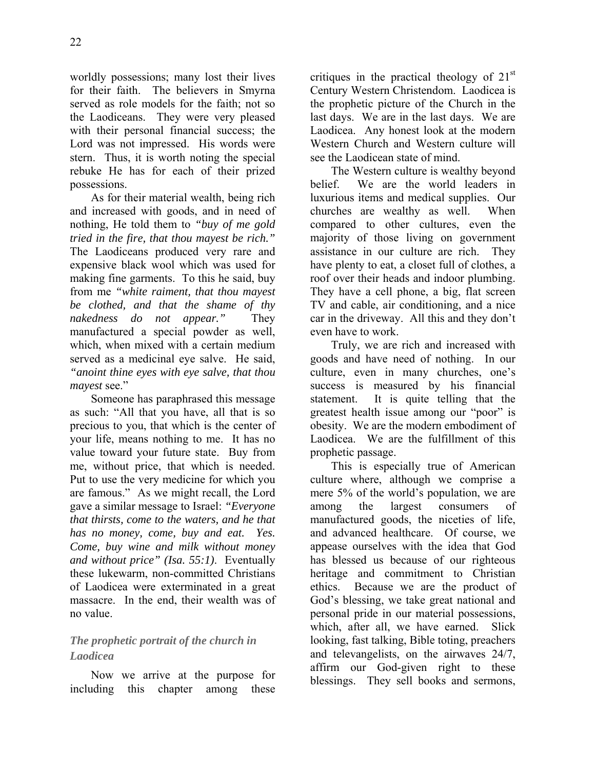worldly possessions; many lost their lives for their faith. The believers in Smyrna served as role models for the faith; not so the Laodiceans. They were very pleased with their personal financial success; the Lord was not impressed. His words were stern. Thus, it is worth noting the special rebuke He has for each of their prized possessions.

As for their material wealth, being rich and increased with goods, and in need of nothing, He told them to *"buy of me gold tried in the fire, that thou mayest be rich."* The Laodiceans produced very rare and expensive black wool which was used for making fine garments. To this he said, buy from me *"white raiment, that thou mayest be clothed, and that the shame of thy nakedness do not appear."* They manufactured a special powder as well, which, when mixed with a certain medium served as a medicinal eye salve. He said, *"anoint thine eyes with eye salve, that thou mayest* see."

Someone has paraphrased this message as such: "All that you have, all that is so precious to you, that which is the center of your life, means nothing to me. It has no value toward your future state. Buy from me, without price, that which is needed. Put to use the very medicine for which you are famous." As we might recall, the Lord gave a similar message to Israel: *"Everyone that thirsts, come to the waters, and he that has no money, come, buy and eat. Yes. Come, buy wine and milk without money and without price" (Isa. 55:1)*. Eventually these lukewarm, non-committed Christians of Laodicea were exterminated in a great massacre. In the end, their wealth was of no value.

# *The prophetic portrait of the church in Laodicea*

Now we arrive at the purpose for including this chapter among these critiques in the practical theology of  $21<sup>st</sup>$ Century Western Christendom. Laodicea is the prophetic picture of the Church in the last days. We are in the last days. We are Laodicea. Any honest look at the modern Western Church and Western culture will see the Laodicean state of mind.

The Western culture is wealthy beyond belief. We are the world leaders in luxurious items and medical supplies. Our churches are wealthy as well. When compared to other cultures, even the majority of those living on government assistance in our culture are rich. They have plenty to eat, a closet full of clothes, a roof over their heads and indoor plumbing. They have a cell phone, a big, flat screen TV and cable, air conditioning, and a nice car in the driveway. All this and they don't even have to work.

Truly, we are rich and increased with goods and have need of nothing. In our culture, even in many churches, one's success is measured by his financial statement. It is quite telling that the greatest health issue among our "poor" is obesity. We are the modern embodiment of Laodicea. We are the fulfillment of this prophetic passage.

This is especially true of American culture where, although we comprise a mere 5% of the world's population, we are among the largest consumers of manufactured goods, the niceties of life, and advanced healthcare. Of course, we appease ourselves with the idea that God has blessed us because of our righteous heritage and commitment to Christian ethics. Because we are the product of God's blessing, we take great national and personal pride in our material possessions, which, after all, we have earned. Slick looking, fast talking, Bible toting, preachers and televangelists, on the airwaves 24/7, affirm our God-given right to these blessings. They sell books and sermons,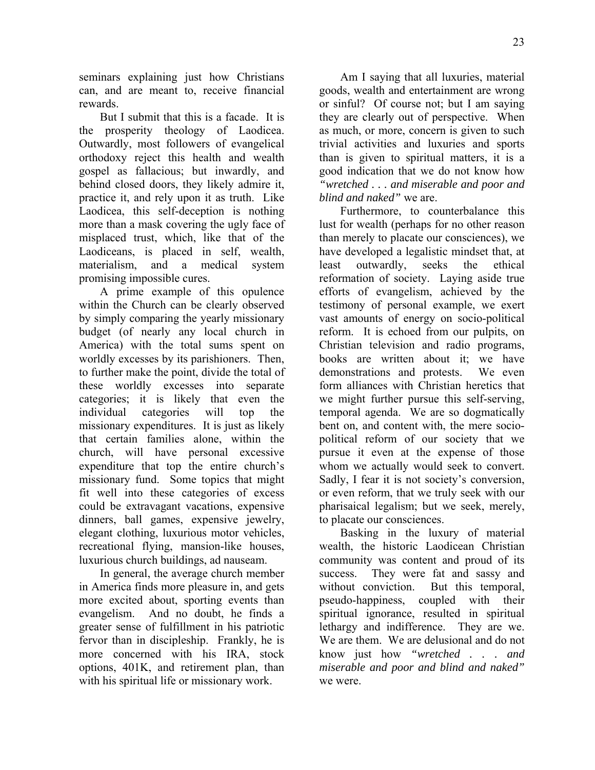seminars explaining just how Christians can, and are meant to, receive financial rewards.

But I submit that this is a facade. It is the prosperity theology of Laodicea. Outwardly, most followers of evangelical orthodoxy reject this health and wealth gospel as fallacious; but inwardly, and behind closed doors, they likely admire it, practice it, and rely upon it as truth. Like Laodicea, this self-deception is nothing more than a mask covering the ugly face of misplaced trust, which, like that of the Laodiceans, is placed in self, wealth, materialism, and a medical system promising impossible cures.

A prime example of this opulence within the Church can be clearly observed by simply comparing the yearly missionary budget (of nearly any local church in America) with the total sums spent on worldly excesses by its parishioners. Then, to further make the point, divide the total of these worldly excesses into separate categories; it is likely that even the individual categories will top the missionary expenditures. It is just as likely that certain families alone, within the church, will have personal excessive expenditure that top the entire church's missionary fund. Some topics that might fit well into these categories of excess could be extravagant vacations, expensive dinners, ball games, expensive jewelry, elegant clothing, luxurious motor vehicles, recreational flying, mansion-like houses, luxurious church buildings, ad nauseam.

In general, the average church member in America finds more pleasure in, and gets more excited about, sporting events than evangelism. And no doubt, he finds a greater sense of fulfillment in his patriotic fervor than in discipleship. Frankly, he is more concerned with his IRA, stock options, 401K, and retirement plan, than with his spiritual life or missionary work.

Am I saying that all luxuries, material goods, wealth and entertainment are wrong or sinful? Of course not; but I am saying they are clearly out of perspective. When as much, or more, concern is given to such trivial activities and luxuries and sports than is given to spiritual matters, it is a good indication that we do not know how *"wretched . . . and miserable and poor and blind and naked"* we are.

Furthermore, to counterbalance this lust for wealth (perhaps for no other reason than merely to placate our consciences), we have developed a legalistic mindset that, at least outwardly, seeks the ethical reformation of society. Laying aside true efforts of evangelism, achieved by the testimony of personal example, we exert vast amounts of energy on socio-political reform. It is echoed from our pulpits, on Christian television and radio programs, books are written about it; we have demonstrations and protests. We even form alliances with Christian heretics that we might further pursue this self-serving, temporal agenda. We are so dogmatically bent on, and content with, the mere sociopolitical reform of our society that we pursue it even at the expense of those whom we actually would seek to convert. Sadly, I fear it is not society's conversion, or even reform, that we truly seek with our pharisaical legalism; but we seek, merely, to placate our consciences.

Basking in the luxury of material wealth, the historic Laodicean Christian community was content and proud of its success. They were fat and sassy and without conviction. But this temporal, pseudo-happiness, coupled with their spiritual ignorance, resulted in spiritual lethargy and indifference. They are we. We are them. We are delusional and do not know just how *"wretched . . . and miserable and poor and blind and naked"* we were.